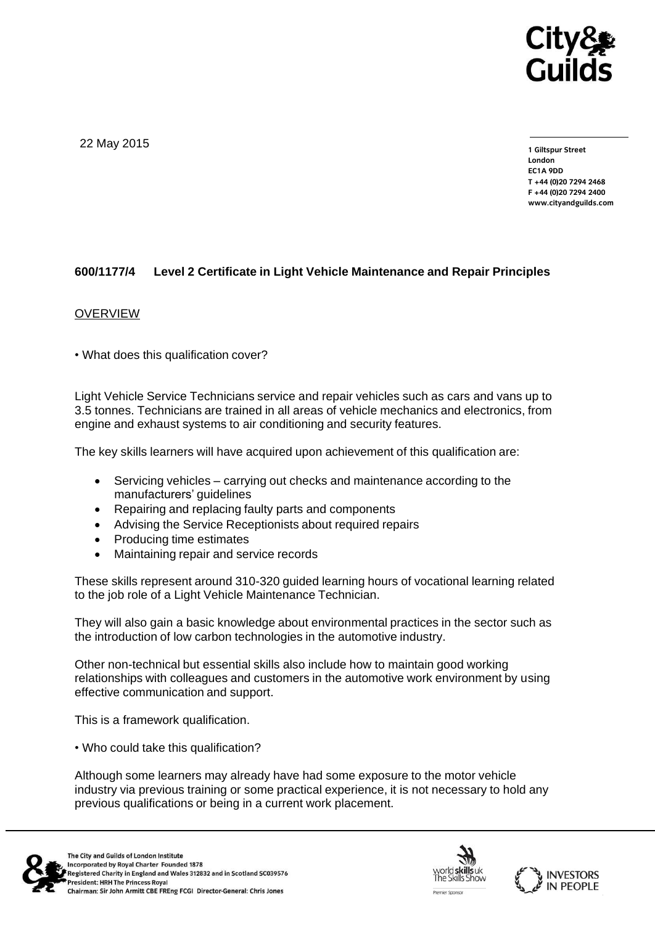

22 May 2015

**1 Giltspur Street EC1A 9DD** T +44 (0)20 7294 2468 **T +44 (0)20 7294 246[8](http://www.cityandguilds.com/) F +44 (0)20 7294 2400 [www.cityandguilds.com](http://www.cityandguilds.com/)**

## **600/1177/4 Level 2 Certificate in Light Vehicle Maintenance and Repair Principles**

## OVERVIEW

• What does this qualification cover?

Light Vehicle Service Technicians service and repair vehicles such as cars and vans up to 3.5 tonnes. Technicians are trained in all areas of vehicle mechanics and electronics, from engine and exhaust systems to air conditioning and security features.

The key skills learners will have acquired upon achievement of this qualification are:

- Servicing vehicles carrying out checks and maintenance according to the manufacturers' guidelines
- Repairing and replacing faulty parts and components
- Advising the Service Receptionists about required repairs
- Producing time estimates
- Maintaining repair and service records

These skills represent around 310-320 guided learning hours of vocational learning related to the job role of a Light Vehicle Maintenance Technician.

They will also gain a basic knowledge about environmental practices in the sector such as the introduction of low carbon technologies in the automotive industry.

Other non-technical but essential skills also include how to maintain good working relationships with colleagues and customers in the automotive work environment by using effective communication and support.

This is a framework qualification.

• Who could take this qualification?

Although some learners may already have had some exposure to the motor vehicle industry via previous training or some practical experience, it is not necessary to hold any previous qualifications or being in a current work placement.